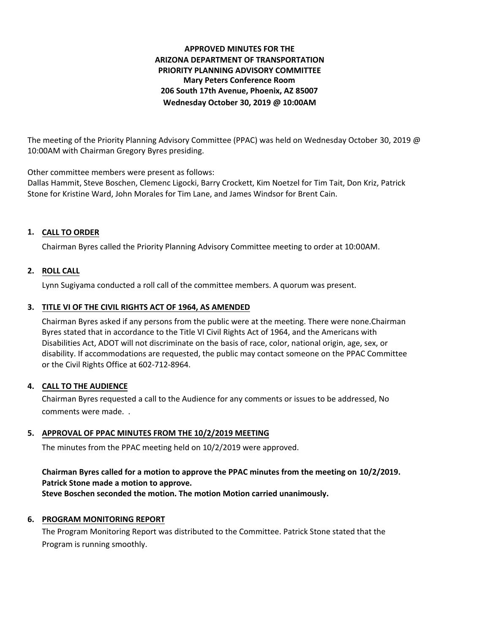# **APPROVED MINUTES FOR THE ARIZONA DEPARTMENT OF TRANSPORTATION PRIORITY PLANNING ADVISORY COMMITTEE Mary Peters Conference Room 206 South 17th Avenue, Phoenix, AZ 85007 Wednesday October 30, 2019 @ 10:00AM**

The meeting of the Priority Planning Advisory Committee (PPAC) was held on Wednesday October 30, 2019 @ 10:00AM with Chairman Gregory Byres presiding.

Other committee members were present as follows:

Dallas Hammit, Steve Boschen, Clemenc Ligocki, Barry Crockett, Kim Noetzel for Tim Tait, Don Kriz, Patrick Stone for Kristine Ward, John Morales for Tim Lane, and James Windsor for Brent Cain.

# **CALL TO ORDER 1.**

Chairman Byres called the Priority Planning Advisory Committee meeting to order at 10:00AM.

## **ROLL CALL 2.**

Lynn Sugiyama conducted a roll call of the committee members. A quorum was present.

## **TITLE VI OF THE CIVIL RIGHTS ACT OF 1964, AS AMENDED 3.**

Chairman Byres asked if any persons from the public were at the meeting. There were none.Chairman Byres stated that in accordance to the Title VI Civil Rights Act of 1964, and the Americans with Disabilities Act, ADOT will not discriminate on the basis of race, color, national origin, age, sex, or disability. If accommodations are requested, the public may contact someone on the PPAC Committee or the Civil Rights Office at 602-712-8964.

### **CALL TO THE AUDIENCE 4.**

Chairman Byres requested a call to the Audience for any comments or issues to be addressed, No comments were made. .

### **APPROVAL OF PPAC MINUTES FROM THE 10/2/2019 MEETING 5.**

The minutes from the PPAC meeting held on 10/2/2019 were approved.

# **Chairman Byres called for a motion to approve the PPAC minutes from the meeting on 10/2/2019. Patrick Stone made a motion to approve.**

**Steve Boschen seconded the motion. The motion Motion carried unanimously.**

### **6. PROGRAM MONITORING REPORT**

The Program Monitoring Report was distributed to the Committee. Patrick Stone stated that the Program is running smoothly.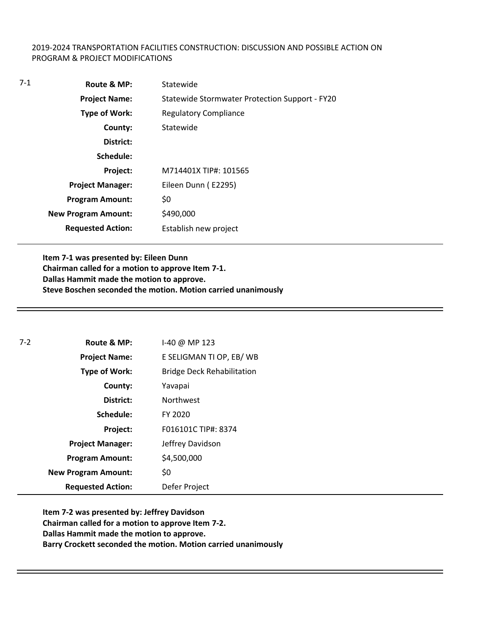### 2019-2024 TRANSPORTATION FACILITIES CONSTRUCTION: DISCUSSION AND POSSIBLE ACTION ON PROGRAM & PROJECT MODIFICATIONS

| $7-1$ | Route & MP:                | Statewide                                      |
|-------|----------------------------|------------------------------------------------|
|       | <b>Project Name:</b>       | Statewide Stormwater Protection Support - FY20 |
|       | <b>Type of Work:</b>       | <b>Regulatory Compliance</b>                   |
|       | County:                    | Statewide                                      |
|       | District:                  |                                                |
|       | Schedule:                  |                                                |
|       | Project:                   | M714401X TIP#: 101565                          |
|       | <b>Project Manager:</b>    | Eileen Dunn (E2295)                            |
|       | <b>Program Amount:</b>     | \$0                                            |
|       | <b>New Program Amount:</b> | \$490,000                                      |
|       | <b>Requested Action:</b>   | Establish new project                          |

**Item 7-1 was presented by: Eileen Dunn Chairman called for a motion to approve Item 7-1. Dallas Hammit made the motion to approve. Steve Boschen seconded the motion. Motion carried unanimously**

| $7 - 2$ | Route & MP:                | I-40 @ MP 123                     |
|---------|----------------------------|-----------------------------------|
|         | <b>Project Name:</b>       | E SELIGMAN TI OP, EB/WB           |
|         | <b>Type of Work:</b>       | <b>Bridge Deck Rehabilitation</b> |
|         | County:                    | Yavapai                           |
|         | District:                  | <b>Northwest</b>                  |
|         | Schedule:                  | FY 2020                           |
|         | Project:                   | F016101C TIP#: 8374               |
|         | <b>Project Manager:</b>    | Jeffrey Davidson                  |
|         | <b>Program Amount:</b>     | \$4,500,000                       |
|         | <b>New Program Amount:</b> | \$0                               |
|         | <b>Requested Action:</b>   | Defer Project                     |

**Item 7-2 was presented by: Jeffrey Davidson Chairman called for a motion to approve Item 7-2. Dallas Hammit made the motion to approve. Barry Crockett seconded the motion. Motion carried unanimously**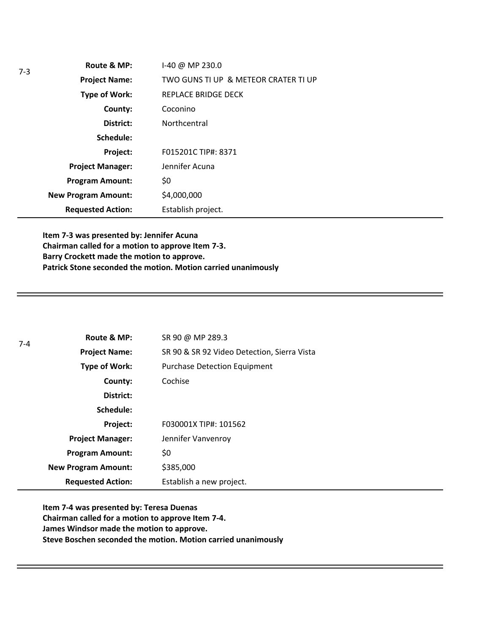|                        | Route & MP:                | I-40 @ MP 230.0                      |
|------------------------|----------------------------|--------------------------------------|
|                        | <b>Project Name:</b>       | TWO GUNS TI UP & METEOR CRATER TI UP |
|                        | <b>Type of Work:</b>       | REPLACE BRIDGE DECK                  |
|                        | County:                    | Coconino                             |
| District:              |                            | Northcentral                         |
|                        | Schedule:                  |                                      |
|                        | Project:                   | F015201C TIP#: 8371                  |
|                        | <b>Project Manager:</b>    | Jennifer Acuna                       |
| <b>Program Amount:</b> |                            | \$0                                  |
|                        | <b>New Program Amount:</b> | \$4,000,000                          |
|                        | <b>Requested Action:</b>   | Establish project.                   |

**Item 7-3 was presented by: Jennifer Acuna Chairman called for a motion to approve Item 7-3. Barry Crockett made the motion to approve. Patrick Stone seconded the motion. Motion carried unanimously**

| $7 - 4$ | Route & MP:                                                                                                                                                                                | SR 90 @ MP 289.3                            |  |  |  |  |
|---------|--------------------------------------------------------------------------------------------------------------------------------------------------------------------------------------------|---------------------------------------------|--|--|--|--|
|         | <b>Project Name:</b>                                                                                                                                                                       | SR 90 & SR 92 Video Detection, Sierra Vista |  |  |  |  |
|         | Type of Work:<br><b>Purchase Detection Equipment</b><br>Cochise<br>County:<br>District:<br>Schedule:<br>Project:<br>F030001X TIP#: 101562<br>Jennifer Vanvenroy<br><b>Project Manager:</b> |                                             |  |  |  |  |
|         |                                                                                                                                                                                            |                                             |  |  |  |  |
|         |                                                                                                                                                                                            |                                             |  |  |  |  |
|         |                                                                                                                                                                                            |                                             |  |  |  |  |
|         |                                                                                                                                                                                            |                                             |  |  |  |  |
|         |                                                                                                                                                                                            |                                             |  |  |  |  |
|         | <b>Program Amount:</b>                                                                                                                                                                     | \$0                                         |  |  |  |  |
|         | <b>New Program Amount:</b>                                                                                                                                                                 | \$385,000                                   |  |  |  |  |
|         | <b>Requested Action:</b>                                                                                                                                                                   | Establish a new project.                    |  |  |  |  |

**Item 7-4 was presented by: Teresa Duenas Chairman called for a motion to approve Item 7-4. James Windsor made the motion to approve. Steve Boschen seconded the motion. Motion carried unanimously**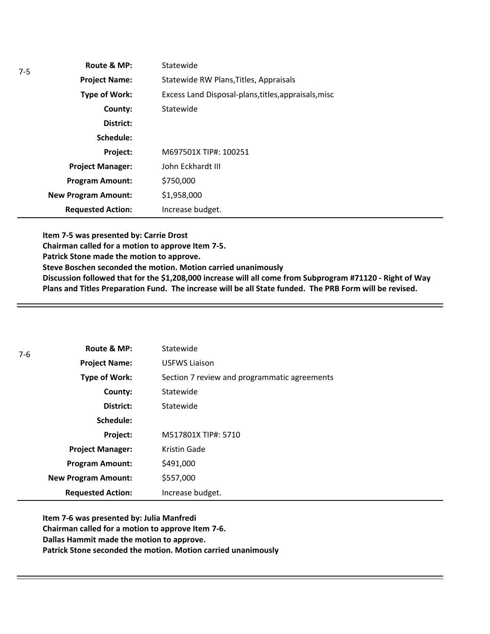| Route & MP:                | Statewide                                            |
|----------------------------|------------------------------------------------------|
| <b>Project Name:</b>       | Statewide RW Plans, Titles, Appraisals               |
| <b>Type of Work:</b>       | Excess Land Disposal-plans, titles, appraisals, misc |
| County:                    | Statewide                                            |
| District:                  |                                                      |
| Schedule:                  |                                                      |
| Project:                   | M697501X TIP#: 100251                                |
| <b>Project Manager:</b>    | John Eckhardt III                                    |
| <b>Program Amount:</b>     | \$750,000                                            |
| <b>New Program Amount:</b> | \$1,958,000                                          |
| <b>Requested Action:</b>   | Increase budget.                                     |

**Item 7-5 was presented by: Carrie Drost Chairman called for a motion to approve Item 7-5. Patrick Stone made the motion to approve. Steve Boschen seconded the motion. Motion carried unanimously Discussion followed that for the \$1,208,000 increase will all come from Subprogram #71120 - Right of Way Plans and Titles Preparation Fund. The increase will be all State funded. The PRB Form will be revised.** 

| 7-6 | Route & MP:                | Statewide                                    |
|-----|----------------------------|----------------------------------------------|
|     | <b>Project Name:</b>       | <b>USFWS Liaison</b>                         |
|     | Type of Work:              | Section 7 review and programmatic agreements |
|     | County:                    | Statewide                                    |
|     | District:                  | Statewide                                    |
|     | Schedule:                  |                                              |
|     | Project:                   | M517801X TIP#: 5710                          |
|     | <b>Project Manager:</b>    | Kristin Gade                                 |
|     | <b>Program Amount:</b>     | \$491,000                                    |
|     | <b>New Program Amount:</b> | \$557,000                                    |
|     | <b>Requested Action:</b>   | Increase budget.                             |

**Item 7-6 was presented by: Julia Manfredi Chairman called for a motion to approve Item 7-6. Dallas Hammit made the motion to approve. Patrick Stone seconded the motion. Motion carried unanimously**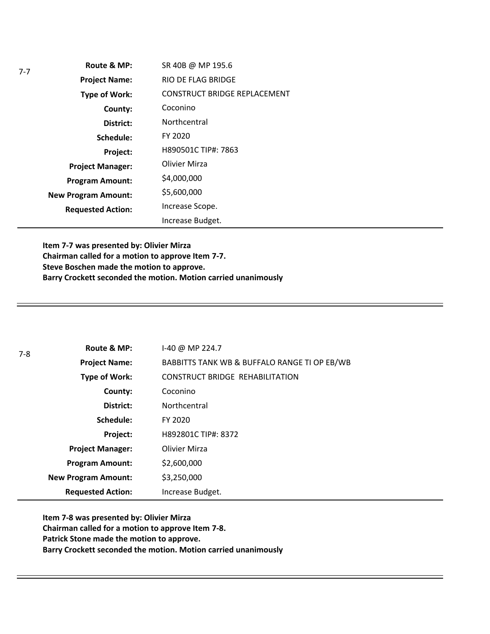| Route & MP:                | SR 40B @ MP 195.6                   |
|----------------------------|-------------------------------------|
| <b>Project Name:</b>       | RIO DE FLAG BRIDGE                  |
| <b>Type of Work:</b>       | <b>CONSTRUCT BRIDGE REPLACEMENT</b> |
| County:                    | Coconino                            |
| District:                  | Northcentral                        |
| Schedule:                  | FY 2020                             |
| Project:                   | H890501C TIP#: 7863                 |
| <b>Project Manager:</b>    | Olivier Mirza                       |
| <b>Program Amount:</b>     | \$4,000,000                         |
| <b>New Program Amount:</b> | \$5,600,000                         |
| <b>Requested Action:</b>   | Increase Scope.                     |
|                            | Increase Budget.                    |

**Item 7-7 was presented by: Olivier Mirza Chairman called for a motion to approve Item 7-7. Steve Boschen made the motion to approve. Barry Crockett seconded the motion. Motion carried unanimously**

| $7-8$ | Route & MP:                | $1-40$ @ MP 224.7                            |
|-------|----------------------------|----------------------------------------------|
|       | <b>Project Name:</b>       | BABBITTS TANK WB & BUFFALO RANGE TI OP EB/WB |
|       | Type of Work:              | <b>CONSTRUCT BRIDGE REHABILITATION</b>       |
|       | County:                    | Coconino                                     |
|       | District:                  | Northcentral                                 |
|       | Schedule:                  | FY 2020                                      |
|       | Project:                   | H892801C TIP#: 8372                          |
|       | <b>Project Manager:</b>    | Olivier Mirza                                |
|       | <b>Program Amount:</b>     | \$2,600,000                                  |
|       | <b>New Program Amount:</b> | \$3,250,000                                  |
|       | <b>Requested Action:</b>   | Increase Budget.                             |

**Item 7-8 was presented by: Olivier Mirza Chairman called for a motion to approve Item 7-8. Patrick Stone made the motion to approve. Barry Crockett seconded the motion. Motion carried unanimously**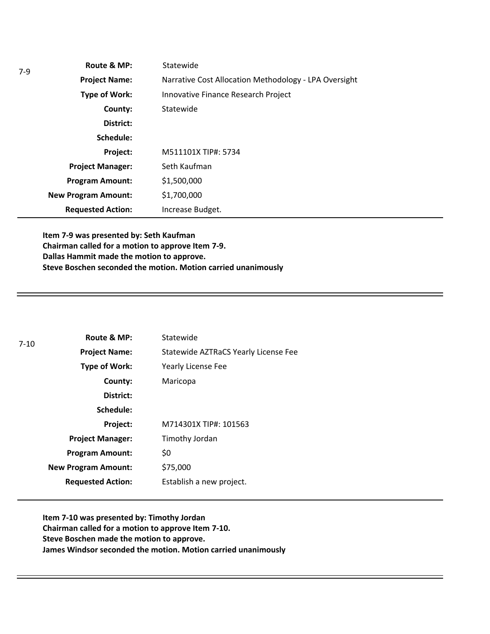| $7-9$ | Route & MP:                | Statewide                                             |
|-------|----------------------------|-------------------------------------------------------|
|       | <b>Project Name:</b>       | Narrative Cost Allocation Methodology - LPA Oversight |
|       | Type of Work:              | Innovative Finance Research Project                   |
|       | County:                    | Statewide                                             |
|       | District:                  |                                                       |
|       | Schedule:                  |                                                       |
|       | Project:                   | M511101X TIP#: 5734                                   |
|       | <b>Project Manager:</b>    | Seth Kaufman                                          |
|       | <b>Program Amount:</b>     | \$1,500,000                                           |
|       | <b>New Program Amount:</b> | \$1,700,000                                           |
|       | <b>Requested Action:</b>   | Increase Budget.                                      |

**Item 7-9 was presented by: Seth Kaufman Chairman called for a motion to approve Item 7-9. Dallas Hammit made the motion to approve. Steve Boschen seconded the motion. Motion carried unanimously**

| $7 - 10$ | Route & MP:                | Statewide                            |
|----------|----------------------------|--------------------------------------|
|          | <b>Project Name:</b>       | Statewide AZTRaCS Yearly License Fee |
|          | <b>Type of Work:</b>       | <b>Yearly License Fee</b>            |
|          | County:                    | Maricopa                             |
|          | District:                  |                                      |
|          | Schedule:                  |                                      |
|          | Project:                   | M714301X TIP#: 101563                |
|          | <b>Project Manager:</b>    | Timothy Jordan                       |
|          | <b>Program Amount:</b>     | \$0                                  |
|          | <b>New Program Amount:</b> | \$75,000                             |
|          | <b>Requested Action:</b>   | Establish a new project.             |

**Item 7-10 was presented by: Timothy Jordan Chairman called for a motion to approve Item 7-10. Steve Boschen made the motion to approve. James Windsor seconded the motion. Motion carried unanimously**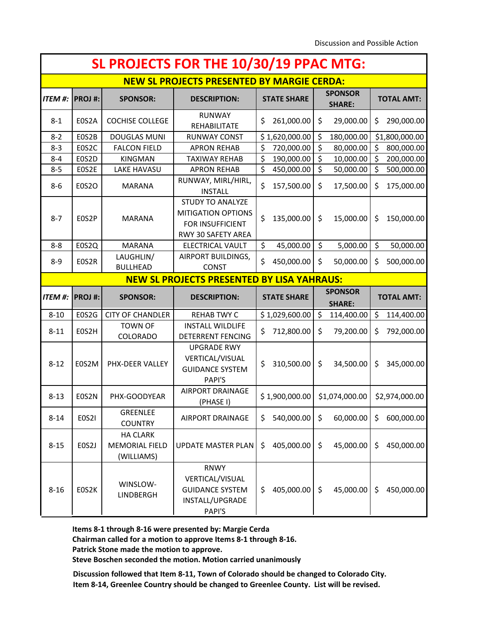| SL PROJECTS FOR THE 10/30/19 PPAC MTG: |                                                   |                                                        |                                                                                                |    |                                 |                  |                                 |            |                   |  |
|----------------------------------------|---------------------------------------------------|--------------------------------------------------------|------------------------------------------------------------------------------------------------|----|---------------------------------|------------------|---------------------------------|------------|-------------------|--|
|                                        | <b>NEW SL PROJECTS PRESENTED BY MARGIE CERDA:</b> |                                                        |                                                                                                |    |                                 |                  |                                 |            |                   |  |
| <b>ITEM #:</b>                         | <b>SPONSOR:</b>                                   |                                                        | <b>STATE SHARE</b>                                                                             |    | <b>SPONSOR</b><br><b>SHARE:</b> |                  | <b>TOTAL AMT:</b>               |            |                   |  |
| $8 - 1$                                | E0S2A                                             | <b>COCHISE COLLEGE</b>                                 | <b>RUNWAY</b><br>REHABILITATE                                                                  | \$ | 261,000.00                      | \$               | 29,000.00                       | \$         | 290,000.00        |  |
| $8 - 2$                                | EOS2B                                             | <b>DOUGLAS MUNI</b>                                    | <b>RUNWAY CONST</b>                                                                            |    | \$1,620,000.00                  | \$               | 180,000.00                      |            | \$1,800,000.00    |  |
| $8 - 3$                                | E0S2C                                             | <b>FALCON FIELD</b>                                    | <b>APRON REHAB</b>                                                                             | \$ | 720,000.00                      | $\overline{\xi}$ | 80,000.00                       | \$         | 800,000.00        |  |
| $8 - 4$                                | E0S2D                                             | <b>KINGMAN</b>                                         | <b>TAXIWAY REHAB</b>                                                                           | \$ | 190,000.00                      | $\overline{\xi}$ | 10,000.00                       | \$         | 200,000.00        |  |
| $8 - 5$                                | E0S2E                                             | LAKE HAVASU                                            | <b>APRON REHAB</b>                                                                             | \$ | 450,000.00                      | \$               | 50,000.00                       | \$         | 500,000.00        |  |
| $8-6$                                  | <b>E0S2O</b>                                      | <b>MARANA</b>                                          | RUNWAY, MIRL/HIRL,<br><b>INSTALL</b>                                                           | \$ | 157,500.00                      | \$               | 17,500.00                       | \$         | 175,000.00        |  |
| $8 - 7$                                | E0S2P                                             | <b>MARANA</b>                                          | <b>STUDY TO ANALYZE</b><br><b>MITIGATION OPTIONS</b><br>FOR INSUFFICIENT<br>RWY 30 SAFETY AREA | \$ | 135,000.00                      | \$               | 15,000.00                       | \$         | 150,000.00        |  |
| $8 - 8$                                | E0S2Q                                             | <b>MARANA</b>                                          | <b>ELECTRICAL VAULT</b>                                                                        | \$ | 45,000.00                       | \$               | 5,000.00                        | \$         | 50,000.00         |  |
| $8 - 9$                                | E0S2R                                             | LAUGHLIN/<br><b>BULLHEAD</b>                           | AIRPORT BUILDINGS,<br><b>CONST</b>                                                             | \$ | 450,000.00                      | \$               | 50,000.00                       | \$         | 500,000.00        |  |
|                                        |                                                   |                                                        | <b>NEW SL PROJECTS PRESENTED BY LISA YAHRAUS:</b>                                              |    |                                 |                  |                                 |            |                   |  |
| <b>ITEM #:</b>                         | <b>PROJ#:</b>                                     | <b>SPONSOR:</b>                                        | <b>DESCRIPTION:</b>                                                                            |    | <b>STATE SHARE</b>              |                  | <b>SPONSOR</b><br><b>SHARE:</b> |            | <b>TOTAL AMT:</b> |  |
| $8 - 10$                               | E0S2G                                             | <b>CITY OF CHANDLER</b>                                | <b>REHAB TWY C</b>                                                                             |    | \$1,029,600.00                  | $\zeta$          | 114,400.00                      | \$         | 114,400.00        |  |
| $8 - 11$                               | E0S2H                                             | <b>TOWN OF</b><br>COLORADO                             | <b>INSTALL WILDLIFE</b><br><b>DETERRENT FENCING</b>                                            | \$ | 712,800.00                      | \$               | 79,200.00                       | \$         | 792,000.00        |  |
| $8 - 12$                               | E0S2M                                             | PHX-DEER VALLEY                                        | <b>UPGRADE RWY</b><br>VERTICAL/VISUAL<br>\$<br>310,500.00<br><b>GUIDANCE SYSTEM</b><br>PAPI'S  |    | \$                              | 34,500.00        | \$                              | 345,000.00 |                   |  |
| $8 - 13$                               | E0S2N                                             | PHX-GOODYEAR                                           | <b>AIRPORT DRAINAGE</b><br>(PHASE I)                                                           |    | \$1,900,000.00                  |                  | \$1,074,000.00                  |            | \$2,974,000.00    |  |
| $8 - 14$                               | <b>E0S2I</b>                                      | <b>GREENLEE</b><br><b>COUNTRY</b>                      | <b>AIRPORT DRAINAGE</b>                                                                        | \$ | 540,000.00                      | \$               | 60,000.00                       | \$         | 600,000.00        |  |
| $8 - 15$                               | EOS2J                                             | <b>HA CLARK</b><br><b>MEMORIAL FIELD</b><br>(WILLIAMS) | <b>UPDATE MASTER PLAN</b>                                                                      | \$ | 405,000.00                      | \$               | 45,000.00                       | \$         | 450,000.00        |  |
| $8 - 16$                               | E0S2K                                             | WINSLOW-<br>LINDBERGH                                  | <b>RNWY</b><br>VERTICAL/VISUAL<br><b>GUIDANCE SYSTEM</b><br>INSTALL/UPGRADE                    | \$ | 405,000.00                      | $\zeta$          | 45,000.00                       | \$         | 450,000.00        |  |

**Items 8-1 through 8-16 were presented by: Margie Cerda**

**Chairman called for a motion to approve Items 8-1 through 8-16.**

**Patrick Stone made the motion to approve.**

**Steve Boschen seconded the motion. Motion carried unanimously**

**Discussion followed that Item 8-11, Town of Colorado should be changed to Colorado City. Item 8-14, Greenlee Country should be changed to Greenlee County. List will be revised.**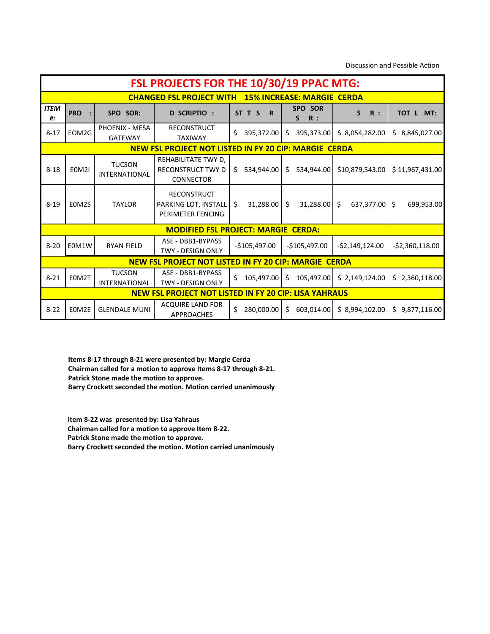Discussion and Possible Action

|                   | FSL PROJECTS FOR THE 10/30/19 PPAC MTG: |                                       |                                                                 |                       |                                   |                       |                       |  |  |
|-------------------|-----------------------------------------|---------------------------------------|-----------------------------------------------------------------|-----------------------|-----------------------------------|-----------------------|-----------------------|--|--|
|                   |                                         |                                       | <b>CHANGED FSL PROJECT WITH</b>                                 |                       | <b>15% INCREASE: MARGIE CERDA</b> |                       |                       |  |  |
| <b>ITEM</b><br>#: | <b>PRO</b>                              | SPO SOR:                              | <b>D SCRIPTIO :</b>                                             | ST T S<br>$\mathbf R$ | SPO SOR<br>S<br>R:                | S<br>R:               | TOT L MT:             |  |  |
| $8 - 17$          | EOM2G                                   | PHOENIX - MESA<br><b>GATEWAY</b>      | <b>RECONSTRUCT</b><br><b>TAXIWAY</b>                            | \$<br>395,372.00      | $\zeta$<br>395,373.00             | \$8,054,282.00        | 8,845,027.00<br>\$    |  |  |
|                   |                                         |                                       | <b>NEW FSL PROJECT NOT LISTED IN FY 20 CIP: MARGIE CERDA</b>    |                       |                                   |                       |                       |  |  |
| $8 - 18$          | <b>E0M2I</b>                            | <b>TUCSON</b><br><b>INTERNATIONAL</b> | REHABILITATE TWY D,<br>RECONSTRUCT TWY D<br><b>CONNECTOR</b>    | \$534,944.00          | Ś.<br>534,944.00                  | \$10,879,543.00       | \$11,967,431.00       |  |  |
| $8 - 19$          | EOM2S                                   | <b>TAYLOR</b>                         | <b>RECONSTRUCT</b><br>PARKING LOT, INSTALL<br>PERIMETER FENCING | \$<br>31,288.00       | $\zeta$<br>31,288.00              | 637,377.00<br>$\zeta$ | $\zeta$<br>699,953.00 |  |  |
|                   |                                         |                                       | <b>MODIFIED FSL PROJECT: MARGIE CERDA:</b>                      |                       |                                   |                       |                       |  |  |
| $8 - 20$          | E0M1W                                   | <b>RYAN FIELD</b>                     | ASE - DBB1-BYPASS<br><b>TWY - DESIGN ONLY</b>                   | $-$105,497.00$        | $-$105,497.00$                    | $-52,149,124.00$      | $-52,360,118.00$      |  |  |
|                   |                                         |                                       | <b>NEW FSL PROJECT NOT LISTED IN FY 20 CIP: MARGIE CERDA</b>    |                       |                                   |                       |                       |  |  |
| $8 - 21$          | E0M2T                                   | <b>TUCSON</b><br>INTERNATIONAL        | ASE - DBB1-BYPASS<br><b>TWY - DESIGN ONLY</b>                   | \$<br>105,497.00      | 105,497.00<br>$\mathsf{S}$        | \$2,149,124.00        | 2,360,118.00<br>\$    |  |  |
|                   |                                         |                                       | <b>NEW FSL PROJECT NOT LISTED IN FY 20 CIP: LISA YAHRAUS</b>    |                       |                                   |                       |                       |  |  |
| $8 - 22$          | EOM2E                                   | <b>GLENDALE MUNI</b>                  | <b>ACQUIRE LAND FOR</b><br><b>APPROACHES</b>                    | \$<br>280,000.00      | Ŝ.<br>603,014.00                  | \$8,994,102.00        | \$9,877,116.00        |  |  |

**Items 8-17 through 8-21 were presented by: Margie Cerda Chairman called for a motion to approve Items 8-17 through 8-21. Patrick Stone made the motion to approve. Barry Crockett seconded the motion. Motion carried unanimously**

**Item 8-22 was presented by: Lisa Yahraus Chairman called for a motion to approve Item 8-22. Patrick Stone made the motion to approve. Barry Crockett seconded the motion. Motion carried unanimously**